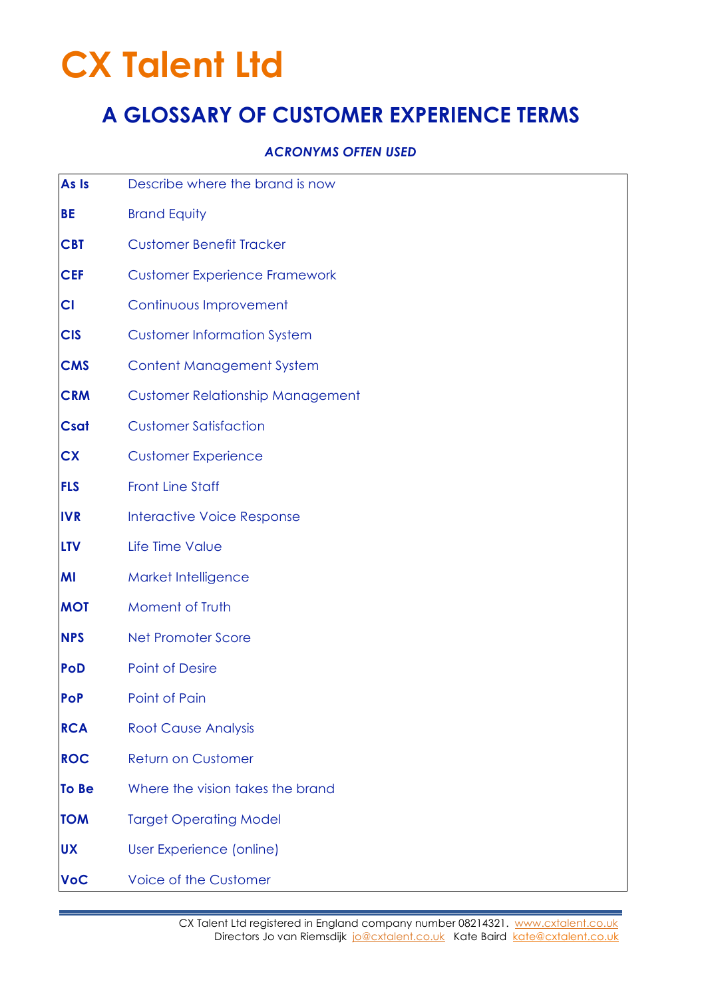# **CX Talent Ltd**

### **A GLOSSARY OF CUSTOMER EXPERIENCE TERMS**

#### *ACRONYMS OFTEN USED*

| As Is        | Describe where the brand is now         |
|--------------|-----------------------------------------|
| <b>BE</b>    | <b>Brand Equity</b>                     |
| <b>CBT</b>   | <b>Customer Benefit Tracker</b>         |
| <b>CEF</b>   | <b>Customer Experience Framework</b>    |
| CI           | Continuous Improvement                  |
| <b>CIS</b>   | <b>Customer Information System</b>      |
| <b>CMS</b>   | <b>Content Management System</b>        |
| <b>CRM</b>   | <b>Customer Relationship Management</b> |
| <b>Csat</b>  | <b>Customer Satisfaction</b>            |
| <b>CX</b>    | <b>Customer Experience</b>              |
| <b>FLS</b>   | <b>Front Line Staff</b>                 |
| <b>IVR</b>   | <b>Interactive Voice Response</b>       |
| <b>LTV</b>   | Life Time Value                         |
| MI           | Market Intelligence                     |
| <b>MOT</b>   | Moment of Truth                         |
| <b>NPS</b>   | <b>Net Promoter Score</b>               |
| <b>PoD</b>   | <b>Point of Desire</b>                  |
| <b>PoP</b>   | Point of Pain                           |
| <b>RCA</b>   | <b>Root Cause Analysis</b>              |
| <b>ROC</b>   | <b>Return on Customer</b>               |
| <b>To Be</b> | Where the vision takes the brand        |
| <b>TOM</b>   | <b>Target Operating Model</b>           |
| <b>UX</b>    | User Experience (online)                |
| <b>VoC</b>   | Voice of the Customer                   |